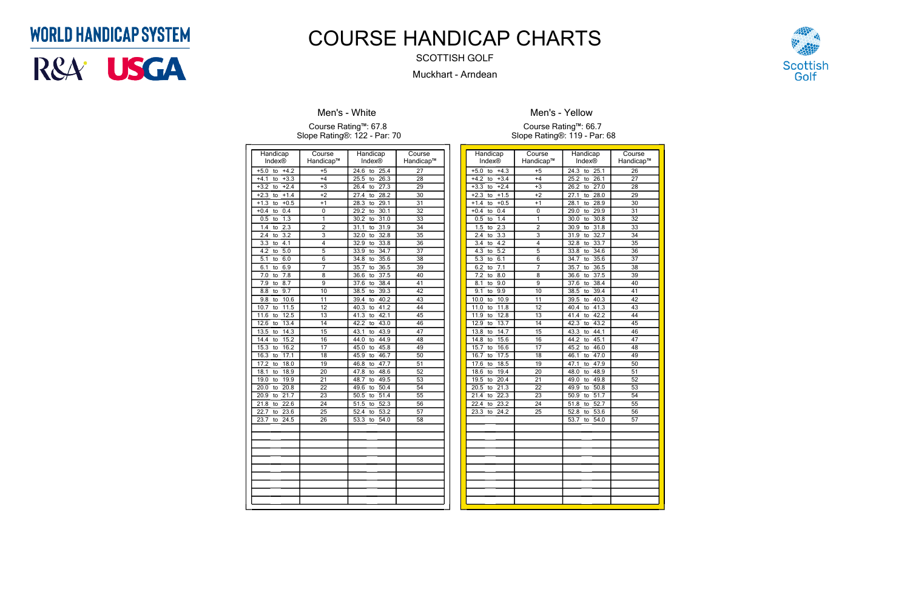| Handicap                      | Course          | Handicap                        | Course          |
|-------------------------------|-----------------|---------------------------------|-----------------|
| Index®                        | Handicap™       | Index®                          | Handicap™       |
| $+4.2$<br>$+5.0$<br>to        | $+5$            | 24.6<br>to<br>25.4              | $\overline{27}$ |
| $+3.3$<br>$+4.1$<br>to        | $+4$            | $\frac{1}{26.3}$<br>25.5<br>to  | 28              |
| $+2.4$<br>$+3.2$<br>to        | $+3$            | 27.3<br>26.4<br>to              | 29              |
| $+2.3$<br>$+1.4$<br>to        | $+2$            | 28.2<br>27.4<br>to              | $\overline{30}$ |
| $+0.5$<br>$+1.3$<br>to        | $+1$            | $\overline{29.1}$<br>28.3<br>to | $\overline{31}$ |
| $+0.4$<br>0.4<br>to           | 0               | 30.1<br>$\overline{29.2}$<br>to | 32              |
| $\overline{1.3}$<br>0.5<br>to | 1               | 31.0<br>30.2<br>to              | 33              |
| 2.3<br>1.4<br>to              | $\overline{2}$  | 31.1<br>31.9<br>to              | 34              |
| 3.2<br>2.4<br>to              | 3               | 32.8<br>32.0<br>to              | $\overline{35}$ |
| 3.3<br>4.1<br>to              | 4               | 33.8<br>32.9<br>to              | $\overline{36}$ |
| 4.2<br>5.0<br>to              | 5               | 34.7<br>33.9<br>to              | $\overline{37}$ |
| 5.1<br>6.0<br>to              | 6               | 35.6<br>34.8<br>to              | 38              |
| 6.9<br>6.1<br>to              | $\overline{7}$  | 36.5<br>35.7<br>to              | $\overline{39}$ |
| 7.8<br>7.0<br>to              | 8               | 37.5<br>36.6<br>to              | 40              |
| 8.7<br>7.9<br>to              | 9               | 38.4<br>37.6<br>to              | $\overline{41}$ |
| $\overline{9.7}$<br>8.8<br>to | 10              | 38.5<br>39.3<br>to              | $\overline{42}$ |
| 10.6<br>9.8<br>to             | 11              | 40.2<br>39.4<br>to              | 43              |
| 11.5<br>10.7<br>to            | 12              | 41.2<br>40.3<br>to              | 44              |
| 12.5<br>11.6<br>to            | 13              | to $42.1$<br>41.3               | $\overline{45}$ |
| 13.4<br>12.6<br>to            | 14              | 43.0<br>42.2<br>to              | 46              |
| 13.5<br>14.3<br>to            | 15              | 43.1<br>43.9<br>to              | 47              |
| 15.2<br>14.4<br>to            | 16              | 44.0<br>44.9<br>to              | 48              |
| 16.2<br>15.3<br>to            | 17              | 45.8<br>45.0<br>to              | 49              |
| 17.1<br>16.3<br>to            | 18              | 46.7<br>45.9<br>to              | 50              |
| 18.0<br>17.2<br>to            | 19              | 46.8<br>to $47.7$               | $\overline{51}$ |
| 18.9<br>18.1<br>to            | 20              | 48.6<br>47.8<br>to              | $\overline{52}$ |
| 19.9<br>19.0<br>to            | 21              | 48.7<br>49.5<br>to              | 53              |
| 20.8<br>20.0<br>to            | 22              | 49.6<br>50.4<br>to              | 54              |
| 21.7<br>20.9<br>to            | $\overline{23}$ | 51.4<br>50.5<br>to              | 55              |
| 21.8<br>22.6<br>to            | 24              | 51.5<br>52.3<br>to              | $\overline{56}$ |
| 22.7<br>23.6<br>to            | 25              | 52.4<br>53.2<br>to              | 57              |
| 24.5<br>23.7<br>to            | 26              | 53.3<br>54.0<br>to              | 58              |
|                               |                 |                                 |                 |
|                               |                 |                                 |                 |
|                               |                 |                                 |                 |
|                               |                 |                                 |                 |
|                               |                 |                                 |                 |
|                               |                 |                                 |                 |
|                               |                 |                                 |                 |
|                               |                 |                                 |                 |
|                               |                 |                                 |                 |
|                               |                 |                                 |                 |

### **Men's - White**

#### Course Rating™: 67.8 Slope Rating®: 122 - Par: 70

| Handicap                      | Course          | Handicap           | Course          |
|-------------------------------|-----------------|--------------------|-----------------|
| Index®                        | Handicap™       | <b>Index®</b>      | Handicap™       |
| $+4.3$<br>$+5.0$<br>to        | $+5$            | 24.3<br>25.1<br>to | 26              |
| $+4.2$<br>$+3.4$<br>to        | $+4$            | 26.1<br>25.2<br>to | 27              |
| $+3.3$<br>$+2.4$<br>to        | $+3$            | 26.2<br>27.0<br>to | 28              |
| $+2.3$<br>$+1.5$<br>to        | $+2$            | 28.0<br>27.1<br>to | 29              |
| $+1.4$<br>$+0.5$<br>to        | $+1$            | 28.1<br>28.9<br>to | 30              |
| 0.4<br>$+0.4$<br>to           | 0               | 29.9<br>29.0<br>to | 31              |
| 1.4<br>0.5<br>to              | 1               | 30.8<br>30.0<br>to | 32              |
| 2.3<br>1.5<br>to              | $\overline{2}$  | 31.8<br>30.9<br>to | 33              |
| $3.\overline{3}$<br>2.4<br>to | $\overline{3}$  | 32.7<br>31.9<br>to | 34              |
| $\overline{3.4}$<br>4.2<br>to | 4               | 32.8<br>33.7<br>to | $\overline{35}$ |
| $\overline{5.2}$<br>4.3<br>to | 5               | 33.8<br>34.6<br>to | 36              |
| 6.1<br>5.3<br>to              | 6               | 35.6<br>34.7<br>to | 37              |
| $\overline{7.1}$<br>6.2<br>to | 7               | 36.5<br>35.7<br>to | 38              |
| $\overline{7.2}$<br>8.0<br>to | 8               | 36.6<br>37.5<br>to | 39              |
| 8.1<br>9.0<br>to              | 9               | 38.4<br>37.6<br>to | 40              |
| 9.1<br>9.9<br>to              | 10              | 38.5<br>39.4<br>to | 41              |
| 10.9<br>10.0<br>to            | 11              | 40.3<br>39.5<br>to | 42              |
| 11.8<br>11.0<br>to            | 12              | 41.3<br>40.4<br>to | 43              |
| 11.9<br>12.8<br>to            | $\overline{13}$ | 42.2<br>41.4<br>to | 44              |
| 13.7<br>12.9<br>to            | $\overline{14}$ | 43.2<br>42.3<br>to | $\overline{45}$ |
| 13.8<br>14.7<br>to            | $\overline{15}$ | 43.3<br>44.1<br>to | 46              |
| 15.6<br>14.8<br>to            | $\overline{16}$ | 45.1<br>44.2<br>to | 47              |
| 15.7<br>16.6<br>to            | 17              | 45.2<br>46.0<br>to | 48              |
| 17.5<br>16.7<br>to            | $\overline{18}$ | 47.0<br>46.1<br>to | 49              |
| 17.6<br>18.5<br>to            | 19              | 47.1<br>47.9<br>to | 50              |
| 18.6<br>19.4<br>to            | 20              | 48.9<br>48.0<br>to | $\overline{51}$ |
| 19.5<br>20.4<br>to            | $\overline{21}$ | 49.8<br>49.0<br>to | $\overline{52}$ |
| 20.5<br>21.3<br>to            | 22              | 49.9<br>50.8<br>to | 53              |
| 22.3<br>21.4<br>to            | 23              | 51.7<br>50.9<br>to | 54              |
| 22.4<br>23.2<br>to            | 24              | 51.8<br>52.7<br>to | 55              |
| 23.3<br>24.2<br>to            | 25              | 52.8<br>53.6<br>to | $\overline{56}$ |
|                               |                 | 53.7<br>54.0<br>to | 57              |
|                               |                 |                    |                 |
|                               |                 |                    |                 |
|                               |                 |                    |                 |
|                               |                 |                    |                 |
|                               |                 |                    |                 |
|                               |                 |                    |                 |
|                               |                 |                    |                 |
|                               |                 |                    |                 |
|                               |                 |                    |                 |
|                               |                 |                    |                 |



**Men's - Yellow**

Course Rating™: 66.7 Slope Rating®: 119 - Par: 68

## **WORLD HANDICAP SYSTEM**



# COURSE HANDICAP CHARTS

SCOTTISH GOLF

Muckhart - Arndean